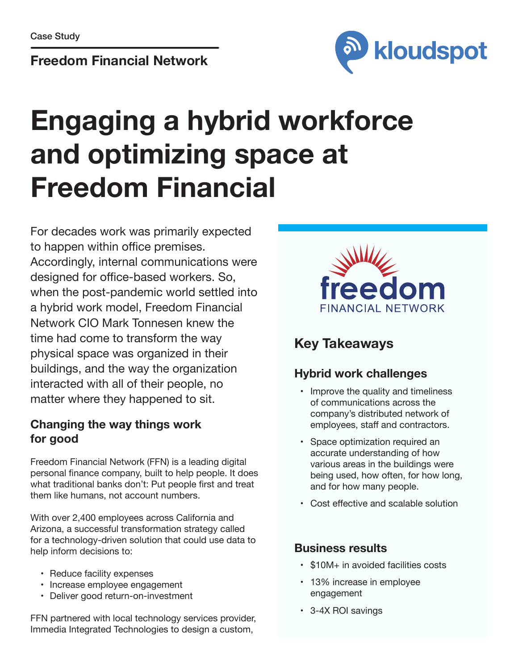#### **Freedom Financial Network**



## **Engaging a hybrid workforce and optimizing space at Freedom Financial**

For decades work was primarily expected to happen within office premises. Accordingly, internal communications were designed for office-based workers. So, when the post-pandemic world settled into a hybrid work model, Freedom Financial Network CIO Mark Tonnesen knew the time had come to transform the way physical space was organized in their buildings, and the way the organization interacted with all of their people, no matter where they happened to sit.

#### **Changing the way things work for good**

Freedom Financial Network (FFN) is a leading digital personal finance company, built to help people. It does what traditional banks don't: Put people first and treat them like humans, not account numbers.

With over 2,400 employees across California and Arizona, a successful transformation strategy called for a technology-driven solution that could use data to help inform decisions to:

- Reduce facility expenses
- Increase employee engagement
- Deliver good return-on-investment

FFN partnered with local technology services provider, Immedia Integrated Technologies to design a custom,



### **Key Takeaways**

#### **Hybrid work challenges**

- Improve the quality and timeliness of communications across the company's distributed network of employees, staff and contractors.
- Space optimization required an accurate understanding of how various areas in the buildings were being used, how often, for how long, and for how many people.
- Cost effective and scalable solution

#### **Business results**

- \$10M+ in avoided facilities costs
- 13% increase in employee engagement
- 3-4X ROI savings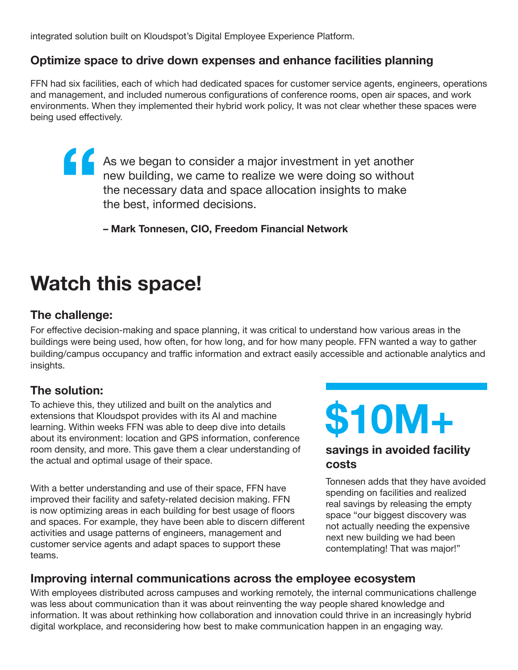integrated solution built on Kloudspot's Digital Employee Experience Platform.

#### **Optimize space to drive down expenses and enhance facilities planning**

FFN had six facilities, each of which had dedicated spaces for customer service agents, engineers, operations and management, and included numerous configurations of conference rooms, open air spaces, and work environments. When they implemented their hybrid work policy, It was not clear whether these spaces were being used effectively.

As we began to consider a major investment in yet another new building, we came to realize we were doing so without the necessary data and space allocation insights to make the best, informed decisions. **"**

**– Mark Tonnesen, CIO, Freedom Financial Network**

## **Watch this space!**

#### **The challenge:**

For effective decision-making and space planning, it was critical to understand how various areas in the buildings were being used, how often, for how long, and for how many people. FFN wanted a way to gather building/campus occupancy and traffic information and extract easily accessible and actionable analytics and insights.

#### **The solution:**

To achieve this, they utilized and built on the analytics and extensions that Kloudspot provides with its AI and machine learning. Within weeks FFN was able to deep dive into details about its environment: location and GPS information, conference room density, and more. This gave them a clear understanding of the actual and optimal usage of their space.

With a better understanding and use of their space, FFN have improved their facility and safety-related decision making. FFN is now optimizing areas in each building for best usage of floors and spaces. For example, they have been able to discern different activities and usage patterns of engineers, management and customer service agents and adapt spaces to support these teams.

# **\$10M+**

#### **savings in avoided facility costs**

Tonnesen adds that they have avoided spending on facilities and realized real savings by releasing the empty space "our biggest discovery was not actually needing the expensive next new building we had been contemplating! That was major!"

#### **Improving internal communications across the employee ecosystem**

With employees distributed across campuses and working remotely, the internal communications challenge was less about communication than it was about reinventing the way people shared knowledge and information. It was about rethinking how collaboration and innovation could thrive in an increasingly hybrid digital workplace, and reconsidering how best to make communication happen in an engaging way.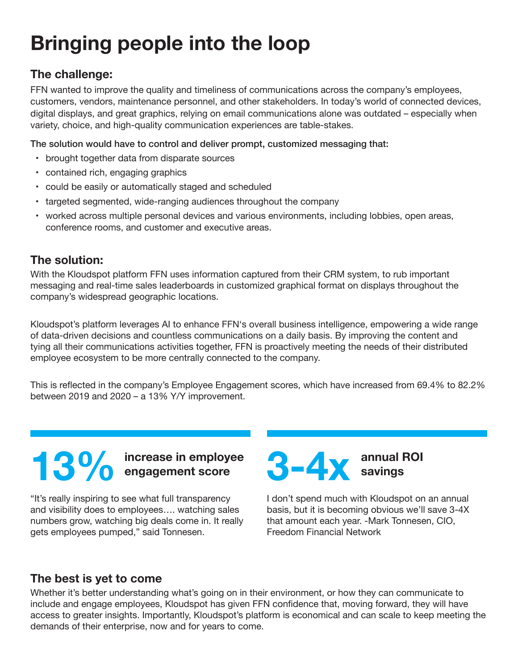## **Bringing people into the loop**

#### **The challenge:**

FFN wanted to improve the quality and timeliness of communications across the company's employees, customers, vendors, maintenance personnel, and other stakeholders. In today's world of connected devices, digital displays, and great graphics, relying on email communications alone was outdated – especially when variety, choice, and high-quality communication experiences are table-stakes.

The solution would have to control and deliver prompt, customized messaging that:

- brought together data from disparate sources
- contained rich, engaging graphics
- could be easily or automatically staged and scheduled
- targeted segmented, wide-ranging audiences throughout the company
- worked across multiple personal devices and various environments, including lobbies, open areas, conference rooms, and customer and executive areas.

#### **The solution:**

With the Kloudspot platform FFN uses information captured from their CRM system, to rub important messaging and real-time sales leaderboards in customized graphical format on displays throughout the company's widespread geographic locations.

Kloudspot's platform leverages AI to enhance FFN's overall business intelligence, empowering a wide range of data-driven decisions and countless communications on a daily basis. By improving the content and tying all their communications activities together, FFN is proactively meeting the needs of their distributed employee ecosystem to be more centrally connected to the company.

This is reflected in the company's Employee Engagement scores, which have increased from 69.4% to 82.2% between 2019 and 2020 – a 13% Y/Y improvement.

## **increase in employee engagement score**

"It's really inspiring to see what full transparency and visibility does to employees…. watching sales numbers grow, watching big deals come in. It really gets employees pumped," said Tonnesen.

**annual ROI 3-4x savings**

I don't spend much with Kloudspot on an annual basis, but it is becoming obvious we'll save 3-4X that amount each year. -Mark Tonnesen, CIO, Freedom Financial Network

#### **The best is yet to come**

Whether it's better understanding what's going on in their environment, or how they can communicate to include and engage employees, Kloudspot has given FFN confidence that, moving forward, they will have access to greater insights. Importantly, Kloudspot's platform is economical and can scale to keep meeting the demands of their enterprise, now and for years to come.